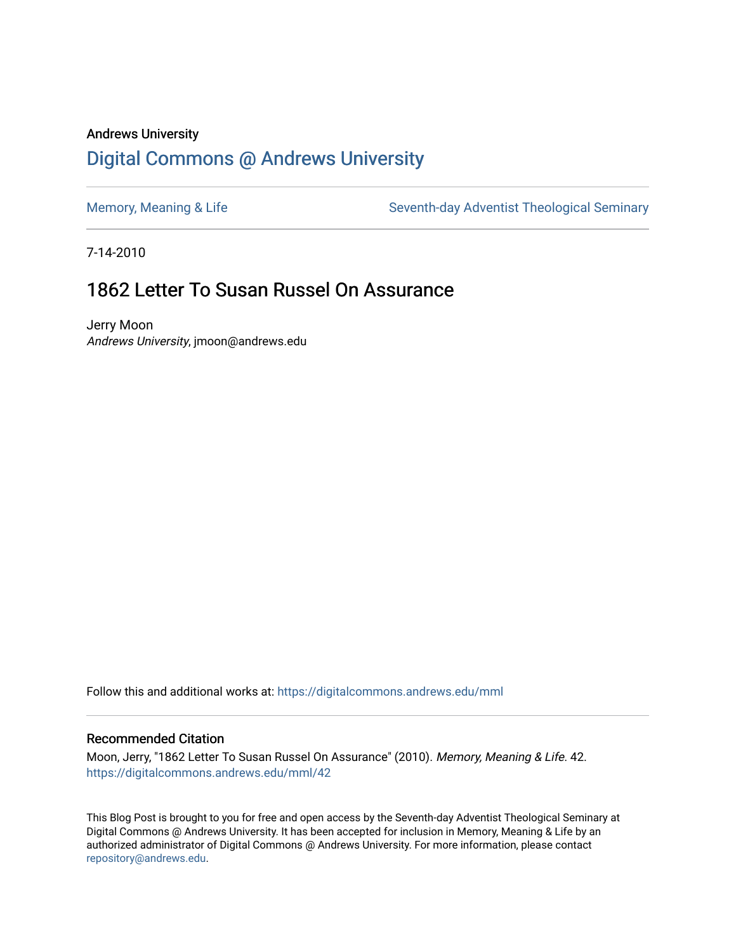# Andrews University [Digital Commons @ Andrews University](https://digitalcommons.andrews.edu/)

[Memory, Meaning & Life](https://digitalcommons.andrews.edu/mml) Seventh-day Adventist Theological Seminary

7-14-2010

# 1862 Letter To Susan Russel On Assurance

Jerry Moon Andrews University, jmoon@andrews.edu

Follow this and additional works at: [https://digitalcommons.andrews.edu/mml](https://digitalcommons.andrews.edu/mml?utm_source=digitalcommons.andrews.edu%2Fmml%2F42&utm_medium=PDF&utm_campaign=PDFCoverPages) 

#### Recommended Citation

Moon, Jerry, "1862 Letter To Susan Russel On Assurance" (2010). Memory, Meaning & Life. 42. [https://digitalcommons.andrews.edu/mml/42](https://digitalcommons.andrews.edu/mml/42?utm_source=digitalcommons.andrews.edu%2Fmml%2F42&utm_medium=PDF&utm_campaign=PDFCoverPages)

This Blog Post is brought to you for free and open access by the Seventh-day Adventist Theological Seminary at Digital Commons @ Andrews University. It has been accepted for inclusion in Memory, Meaning & Life by an authorized administrator of Digital Commons @ Andrews University. For more information, please contact [repository@andrews.edu](mailto:repository@andrews.edu).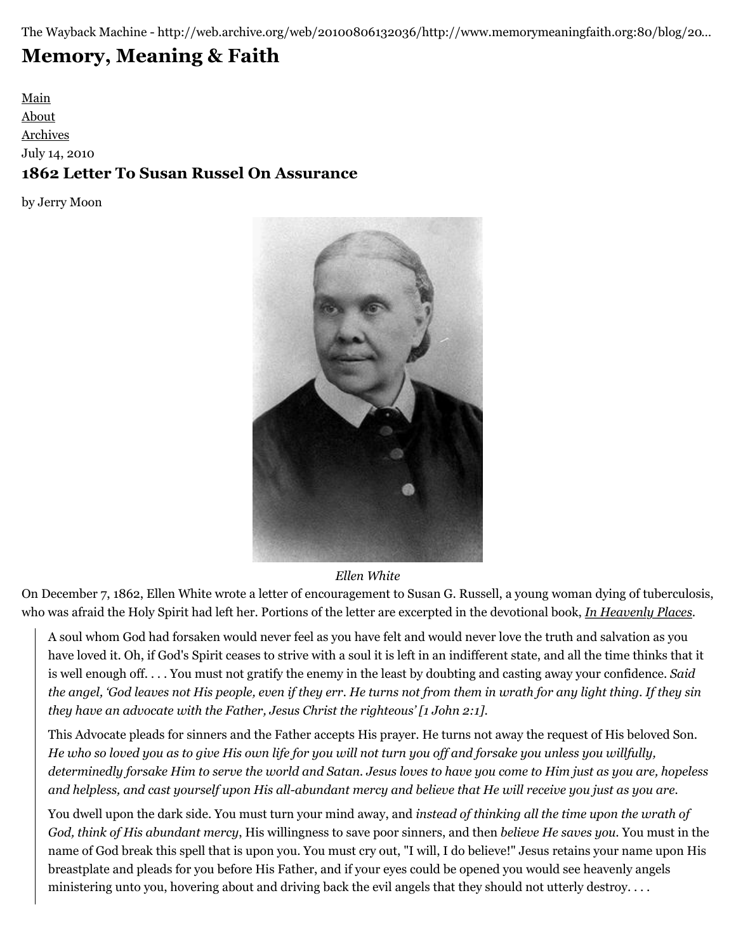The Wayback Machine - http://web.archive.org/web/20100806132036/http://www.memorymeaningfaith.org:80/blog/20…

# **[Memory, Meaning & Faith](http://web.archive.org/web/20100806132036/http://www.memorymeaningfaith.org/blog/)**

[Main](http://web.archive.org/web/20100806132036/http://www.memorymeaningfaith.org/blog) [About](http://web.archive.org/web/20100806132036/http://www.memorymeaningfaith.org/blog/about.html) [Archives](http://web.archive.org/web/20100806132036/http://www.memorymeaningfaith.org/blog/archives.html) July 14, 2010 **1862 Letter To Susan Russel On Assurance**

by Jerry Moon



### *Ellen White*

On December 7, 1862, Ellen White wrote a letter of encouragement to Susan G. Russell, a young woman dying of tuberculosis, who was afraid the Holy Spirit had left her. Portions of the letter are excerpted in the devotional book, *[In Heavenly Places](http://web.archive.org/web/20100806132036/http://www.adventistbookcenter.com/Detail.tpl?sku=0828013861)*.

A soul whom God had forsaken would never feel as you have felt and would never love the truth and salvation as you have loved it. Oh, if God's Spirit ceases to strive with a soul it is left in an indifferent state, and all the time thinks that it is well enough off. . . . You must not gratify the enemy in the least by doubting and casting away your confidence. *Said the angel, 'God leaves not His people, even if they err. He turns not from them in wrath for any light thing. If they sin they have an advocate with the Father, Jesus Christ the righteous' [1 John 2:1]*.

This Advocate pleads for sinners and the Father accepts His prayer. He turns not away the request of His beloved Son. *He who so loved you as to give His own life for you will not turn you off and forsake you unless you willfully, determinedly forsake Him to serve the world and Satan. Jesus loves to have you come to Him just as you are, hopeless and helpless, and cast yourself upon His all-abundant mercy and believe that He will receive you just as you are.*

You dwell upon the dark side. You must turn your mind away, and *instead of thinking all the time upon the wrath of God, think of His abundant mercy*, His willingness to save poor sinners, and then *believe He saves you*. You must in the name of God break this spell that is upon you. You must cry out, "I will, I do believe!" Jesus retains your name upon His breastplate and pleads for you before His Father, and if your eyes could be opened you would see heavenly angels ministering unto you, hovering about and driving back the evil angels that they should not utterly destroy. . . .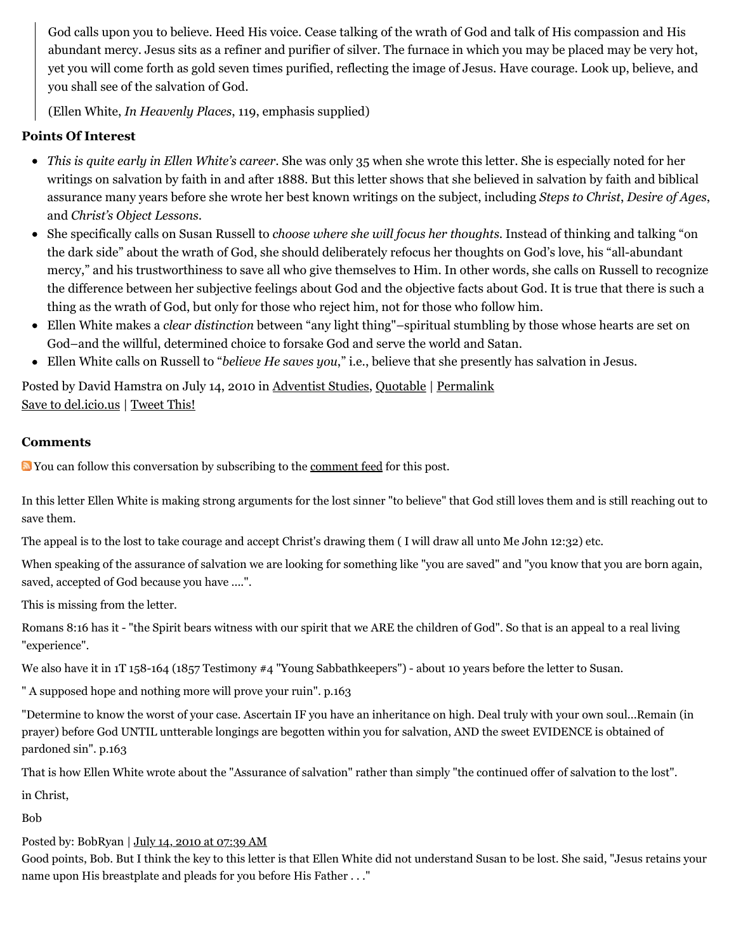God calls upon you to believe. Heed His voice. Cease talking of the wrath of God and talk of His compassion and His abundant mercy. Jesus sits as a refiner and purifier of silver. The furnace in which you may be placed may be very hot, yet you will come forth as gold seven times purified, reflecting the image of Jesus. Have courage. Look up, believe, and you shall see of the salvation of God.

(Ellen White, *In Heavenly Places*, 119, emphasis supplied)

# **Points Of Interest**

- *This is quite early in Ellen White's career*. She was only 35 when she wrote this letter. She is especially noted for her writings on salvation by faith in and after 1888. But this letter shows that she believed in salvation by faith and biblical assurance many years before she wrote her best known writings on the subject, including *Steps to Christ*, *Desire of Ages*, and *Christ's Object Lessons*.
- She specifically calls on Susan Russell to *choose where she will focus her thoughts*. Instead of thinking and talking "on the dark side" about the wrath of God, she should deliberately refocus her thoughts on God's love, his "all-abundant mercy," and his trustworthiness to save all who give themselves to Him. In other words, she calls on Russell to recognize the difference between her subjective feelings about God and the objective facts about God. It is true that there is such a thing as the wrath of God, but only for those who reject him, not for those who follow him.
- Ellen White makes a *clear distinction* between "any light thing"–spiritual stumbling by those whose hearts are set on God–and the willful, determined choice to forsake God and serve the world and Satan.
- Ellen White calls on Russell to "*believe He saves you*," i.e., believe that she presently has salvation in Jesus.

Posted by David Hamstra on July 14, 2010 in [Adventist Studies](http://web.archive.org/web/20100806132036/http://www.memorymeaningfaith.org/blog/adventist-studies/), [Quotable](http://web.archive.org/web/20100806132036/http://www.memorymeaningfaith.org/blog/sources/) | [Permalink](http://web.archive.org/web/20100806132036/http://www.memorymeaningfaith.org/blog/2010/07/1862-letter-russel-assurance.html) [Save to del.icio.us](http://web.archive.org/web/20100806132036/http://del.icio.us/post) | [Tweet This!](http://web.archive.org/web/20100806132036/http://twitter.com/home?status=1862%20Letter%20To%20Susan%20Russel%20On%20Assurance%20http%3A%2F%2Fweb.archive.org%2Fweb%2F20100806132036%2Fhttp%3A%2F%2Fbit.ly%2Fap9TOC)

### **Comments**

You can follow this conversation by subscribing to the [comment feed](http://web.archive.org/web/20100806132036/http://www.memorymeaningfaith.org/blog/2010/07/1862-letter-russel-assurance/comments/atom.xml) for this post.

In this letter Ellen White is making strong arguments for the lost sinner "to believe" that God still loves them and is still reaching out to save them.

The appeal is to the lost to take courage and accept Christ's drawing them ( I will draw all unto Me John 12:32) etc.

When speaking of the assurance of salvation we are looking for something like "you are saved" and "you know that you are born again, saved, accepted of God because you have ....".

This is missing from the letter.

Romans 8:16 has it - "the Spirit bears witness with our spirit that we ARE the children of God". So that is an appeal to a real living "experience".

We also have it in 1T 158-164 (1857 Testimony #4 "Young Sabbathkeepers") - about 10 years before the letter to Susan.

" A supposed hope and nothing more will prove your ruin". p.163

"Determine to know the worst of your case. Ascertain IF you have an inheritance on high. Deal truly with your own soul...Remain (in prayer) before God UNTIL untterable longings are begotten within you for salvation, AND the sweet EVIDENCE is obtained of pardoned sin". p.163

That is how Ellen White wrote about the "Assurance of salvation" rather than simply "the continued offer of salvation to the lost".

in Christ,

Bob

### Posted by: BobRyan | [July 14, 2010 at 07:39 AM](http://web.archive.org/web/20100806132036/http://www.memorymeaningfaith.org/blog/2010/07/1862-letter-russel-assurance.html?cid=6a01287656f488970c0133f2470a47970b#comment-6a01287656f488970c0133f2470a47970b)

Good points, Bob. But I think the key to this letter is that Ellen White did not understand Susan to be lost. She said, "Jesus retains your name upon His breastplate and pleads for you before His Father . . ."